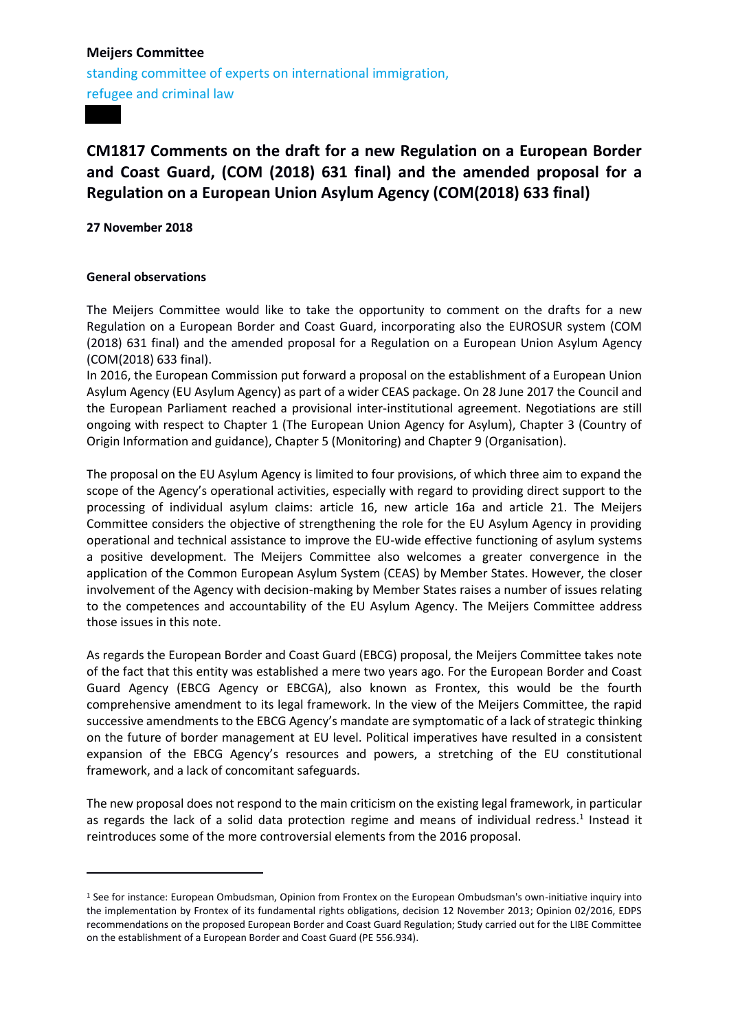standing committee of experts on international immigration, refugee and criminal law

# **CM1817 Comments on the draft for a new Regulation on a European Border and Coast Guard, (COM (2018) 631 final) and the amended proposal for a Regulation on a European Union Asylum Agency (COM(2018) 633 final)**

**27 November 2018** 

#### **General observations**

1

The Meijers Committee would like to take the opportunity to comment on the drafts for a new Regulation on a European Border and Coast Guard, incorporating also the EUROSUR system (COM (2018) 631 final) and the amended proposal for a Regulation on a European Union Asylum Agency (COM(2018) 633 final).

In 2016, the European Commission put forward a proposal on the establishment of a European Union Asylum Agency (EU Asylum Agency) as part of a wider CEAS package. On 28 June 2017 the Council and the European Parliament reached a provisional inter-institutional agreement. Negotiations are still ongoing with respect to Chapter 1 (The European Union Agency for Asylum), Chapter 3 (Country of Origin Information and guidance), Chapter 5 (Monitoring) and Chapter 9 (Organisation).

The proposal on the EU Asylum Agency is limited to four provisions, of which three aim to expand the scope of the Agency's operational activities, especially with regard to providing direct support to the processing of individual asylum claims: article 16, new article 16a and article 21. The Meijers Committee considers the objective of strengthening the role for the EU Asylum Agency in providing operational and technical assistance to improve the EU-wide effective functioning of asylum systems a positive development. The Meijers Committee also welcomes a greater convergence in the application of the Common European Asylum System (CEAS) by Member States. However, the closer involvement of the Agency with decision-making by Member States raises a number of issues relating to the competences and accountability of the EU Asylum Agency. The Meijers Committee address those issues in this note.

As regards the European Border and Coast Guard (EBCG) proposal, the Meijers Committee takes note of the fact that this entity was established a mere two years ago. For the European Border and Coast Guard Agency (EBCG Agency or EBCGA), also known as Frontex, this would be the fourth comprehensive amendment to its legal framework. In the view of the Meijers Committee, the rapid successive amendments to the EBCG Agency's mandate are symptomatic of a lack of strategic thinking on the future of border management at EU level. Political imperatives have resulted in a consistent expansion of the EBCG Agency's resources and powers, a stretching of the EU constitutional framework, and a lack of concomitant safeguards.

The new proposal does not respond to the main criticism on the existing legal framework, in particular as regards the lack of a solid data protection regime and means of individual redress.<sup>1</sup> Instead it reintroduces some of the more controversial elements from the 2016 proposal.

<sup>1</sup> See for instance: European Ombudsman, Opinion from Frontex on the European Ombudsman's own-initiative inquiry into the implementation by Frontex of its fundamental rights obligations, decision 12 November 2013; Opinion 02/2016, EDPS recommendations on the proposed European Border and Coast Guard Regulation; Study carried out for the LIBE Committee on the establishment of a European Border and Coast Guard (PE 556.934).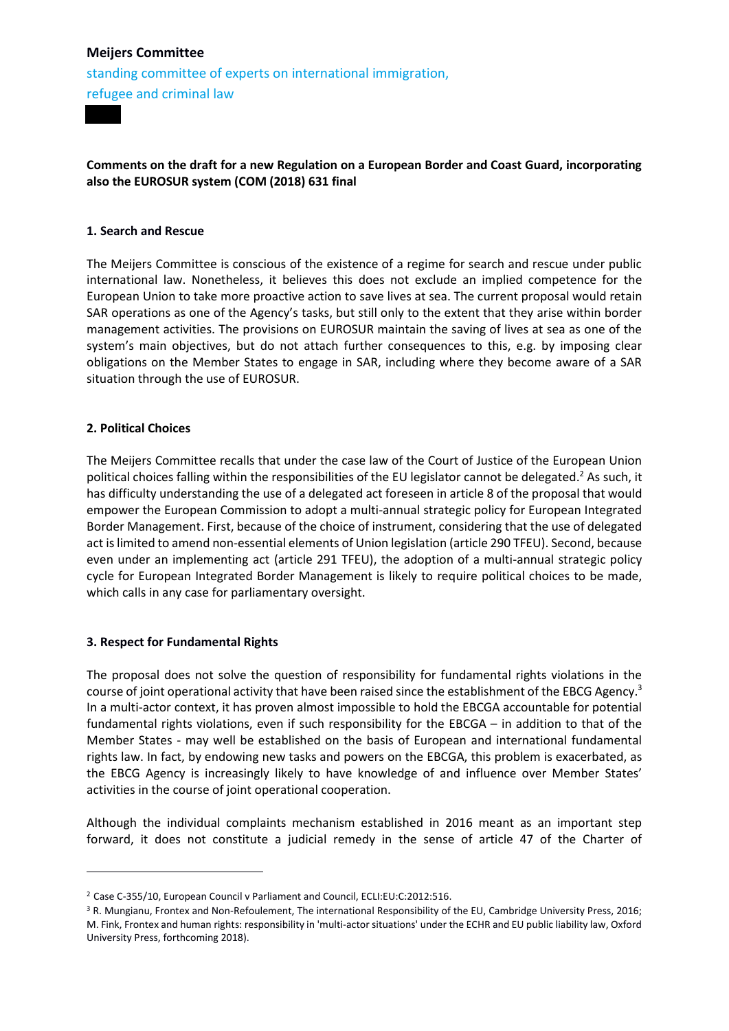standing committee of experts on international immigration, refugee and criminal law

## **Comments on the draft for a new Regulation on a European Border and Coast Guard, incorporating also the EUROSUR system (COM (2018) 631 final**

#### **1. Search and Rescue**

The Meijers Committee is conscious of the existence of a regime for search and rescue under public international law. Nonetheless, it believes this does not exclude an implied competence for the European Union to take more proactive action to save lives at sea. The current proposal would retain SAR operations as one of the Agency's tasks, but still only to the extent that they arise within border management activities. The provisions on EUROSUR maintain the saving of lives at sea as one of the system's main objectives, but do not attach further consequences to this, e.g. by imposing clear obligations on the Member States to engage in SAR, including where they become aware of a SAR situation through the use of EUROSUR.

## **2. Political Choices**

1

The Meijers Committee recalls that under the case law of the Court of Justice of the European Union political choices falling within the responsibilities of the EU legislator cannot be delegated.<sup>2</sup> As such, it has difficulty understanding the use of a delegated act foreseen in article 8 of the proposal that would empower the European Commission to adopt a multi-annual strategic policy for European Integrated Border Management. First, because of the choice of instrument, considering that the use of delegated act is limited to amend non-essential elements of Union legislation (article 290 TFEU). Second, because even under an implementing act (article 291 TFEU), the adoption of a multi-annual strategic policy cycle for European Integrated Border Management is likely to require political choices to be made, which calls in any case for parliamentary oversight.

#### **3. Respect for Fundamental Rights**

The proposal does not solve the question of responsibility for fundamental rights violations in the course of joint operational activity that have been raised since the establishment of the EBCG Agency.<sup>3</sup> In a multi-actor context, it has proven almost impossible to hold the EBCGA accountable for potential fundamental rights violations, even if such responsibility for the EBCGA – in addition to that of the Member States - may well be established on the basis of European and international fundamental rights law. In fact, by endowing new tasks and powers on the EBCGA, this problem is exacerbated, as the EBCG Agency is increasingly likely to have knowledge of and influence over Member States' activities in the course of joint operational cooperation.

Although the individual complaints mechanism established in 2016 meant as an important step forward, it does not constitute a judicial remedy in the sense of article 47 of the Charter of

<sup>2</sup> Case C-355/10, European Council v Parliament and Council, ECLI:EU:C:2012:516.

<sup>&</sup>lt;sup>3</sup> R. Mungianu, Frontex and Non-Refoulement, The international Responsibility of the EU, Cambridge University Press, 2016; M. Fink, Frontex and human rights: responsibility in 'multi-actor situations' under the ECHR and EU public liability law, Oxford University Press, forthcoming 2018).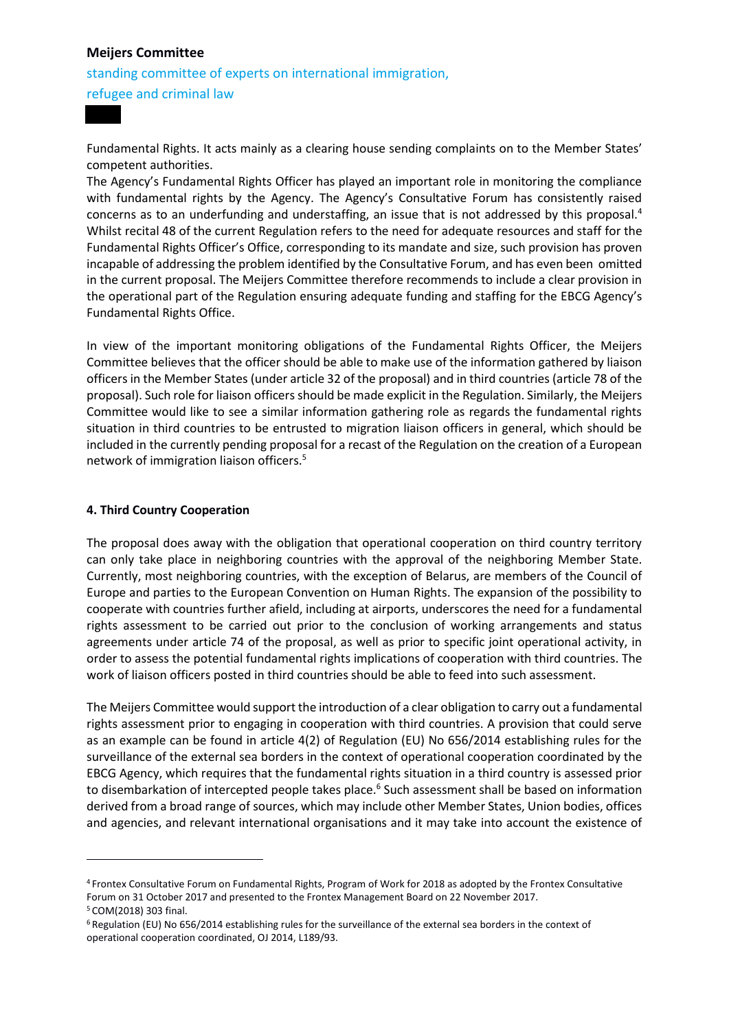standing committee of experts on international immigration, refugee and criminal law

Fundamental Rights. It acts mainly as a clearing house sending complaints on to the Member States' competent authorities.

The Agency's Fundamental Rights Officer has played an important role in monitoring the compliance with fundamental rights by the Agency. The Agency's Consultative Forum has consistently raised concerns as to an underfunding and understaffing, an issue that is not addressed by this proposal.<sup>4</sup> Whilst recital 48 of the current Regulation refers to the need for adequate resources and staff for the Fundamental Rights Officer's Office, corresponding to its mandate and size, such provision has proven incapable of addressing the problem identified by the Consultative Forum, and has even been omitted in the current proposal. The Meijers Committee therefore recommends to include a clear provision in the operational part of the Regulation ensuring adequate funding and staffing for the EBCG Agency's Fundamental Rights Office.

In view of the important monitoring obligations of the Fundamental Rights Officer, the Meijers Committee believes that the officer should be able to make use of the information gathered by liaison officers in the Member States (under article 32 of the proposal) and in third countries (article 78 of the proposal). Such role for liaison officers should be made explicit in the Regulation. Similarly, the Meijers Committee would like to see a similar information gathering role as regards the fundamental rights situation in third countries to be entrusted to migration liaison officers in general, which should be included in the currently pending proposal for a recast of the Regulation on the creation of a European network of immigration liaison officers.<sup>5</sup>

#### **4. Third Country Cooperation**

**.** 

The proposal does away with the obligation that operational cooperation on third country territory can only take place in neighboring countries with the approval of the neighboring Member State. Currently, most neighboring countries, with the exception of Belarus, are members of the Council of Europe and parties to the European Convention on Human Rights. The expansion of the possibility to cooperate with countries further afield, including at airports, underscores the need for a fundamental rights assessment to be carried out prior to the conclusion of working arrangements and status agreements under article 74 of the proposal, as well as prior to specific joint operational activity, in order to assess the potential fundamental rights implications of cooperation with third countries. The work of liaison officers posted in third countries should be able to feed into such assessment.

The Meijers Committee would support the introduction of a clear obligation to carry out a fundamental rights assessment prior to engaging in cooperation with third countries. A provision that could serve as an example can be found in article 4(2) of Regulation (EU) No 656/2014 establishing rules for the surveillance of the external sea borders in the context of operational cooperation coordinated by the EBCG Agency, which requires that the fundamental rights situation in a third country is assessed prior to disembarkation of intercepted people takes place.<sup>6</sup> Such assessment shall be based on information derived from a broad range of sources, which may include other Member States, Union bodies, offices and agencies, and relevant international organisations and it may take into account the existence of

<sup>4</sup> Frontex Consultative Forum on Fundamental Rights, Program of Work for 2018 as adopted by the Frontex Consultative Forum on 31 October 2017 and presented to the Frontex Management Board on 22 November 2017. <sup>5</sup> COM(2018) 303 final.

<sup>6</sup> Regulation (EU) No 656/2014 establishing rules for the surveillance of the external sea borders in the context of operational cooperation coordinated, OJ 2014, L189/93.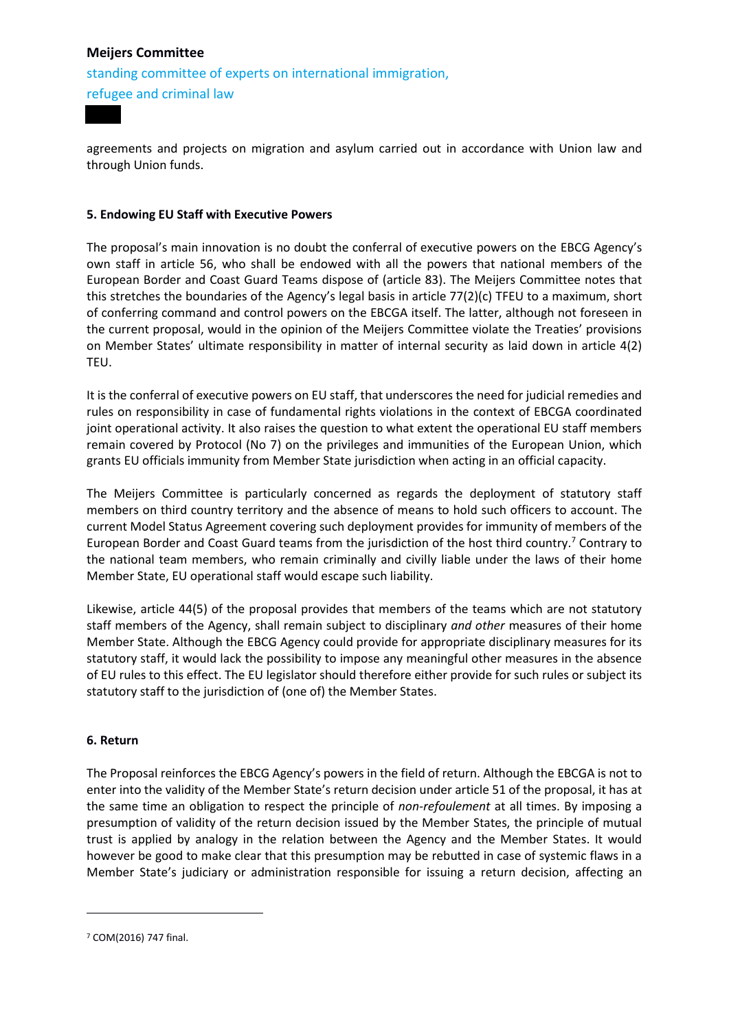standing committee of experts on international immigration, refugee and criminal law

agreements and projects on migration and asylum carried out in accordance with Union law and through Union funds.

#### **5. Endowing EU Staff with Executive Powers**

The proposal's main innovation is no doubt the conferral of executive powers on the EBCG Agency's own staff in article 56, who shall be endowed with all the powers that national members of the European Border and Coast Guard Teams dispose of (article 83). The Meijers Committee notes that this stretches the boundaries of the Agency's legal basis in article 77(2)(c) TFEU to a maximum, short of conferring command and control powers on the EBCGA itself. The latter, although not foreseen in the current proposal, would in the opinion of the Meijers Committee violate the Treaties' provisions on Member States' ultimate responsibility in matter of internal security as laid down in article 4(2) TEU.

It is the conferral of executive powers on EU staff, that underscores the need for judicial remedies and rules on responsibility in case of fundamental rights violations in the context of EBCGA coordinated joint operational activity. It also raises the question to what extent the operational EU staff members remain covered by Protocol (No 7) on the privileges and immunities of the European Union, which grants EU officials immunity from Member State jurisdiction when acting in an official capacity.

The Meijers Committee is particularly concerned as regards the deployment of statutory staff members on third country territory and the absence of means to hold such officers to account. The current Model Status Agreement covering such deployment provides for immunity of members of the European Border and Coast Guard teams from the jurisdiction of the host third country.<sup>7</sup> Contrary to the national team members, who remain criminally and civilly liable under the laws of their home Member State, EU operational staff would escape such liability.

Likewise, article 44(5) of the proposal provides that members of the teams which are not statutory staff members of the Agency, shall remain subject to disciplinary *and other* measures of their home Member State. Although the EBCG Agency could provide for appropriate disciplinary measures for its statutory staff, it would lack the possibility to impose any meaningful other measures in the absence of EU rules to this effect. The EU legislator should therefore either provide for such rules or subject its statutory staff to the jurisdiction of (one of) the Member States.

#### **6. Return**

The Proposal reinforces the EBCG Agency's powers in the field of return. Although the EBCGA is not to enter into the validity of the Member State's return decision under article 51 of the proposal, it has at the same time an obligation to respect the principle of *non-refoulement* at all times. By imposing a presumption of validity of the return decision issued by the Member States, the principle of mutual trust is applied by analogy in the relation between the Agency and the Member States. It would however be good to make clear that this presumption may be rebutted in case of systemic flaws in a Member State's judiciary or administration responsible for issuing a return decision, affecting an

**.** 

<sup>7</sup> COM(2016) 747 final.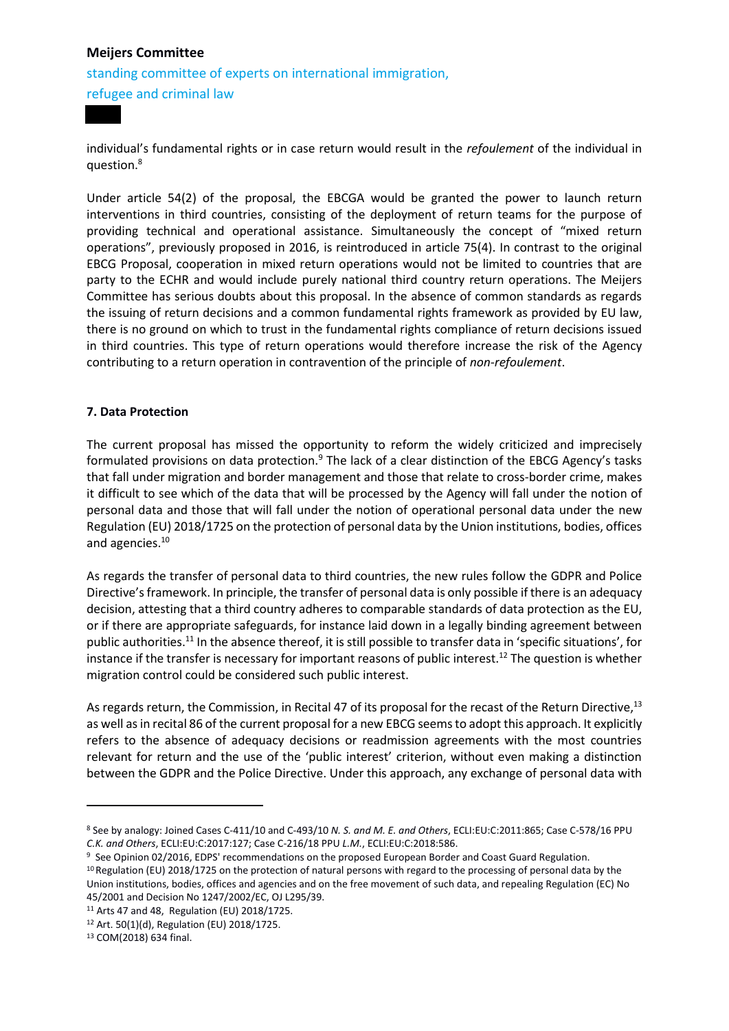standing committee of experts on international immigration, refugee and criminal law

individual's fundamental rights or in case return would result in the *refoulement* of the individual in question.<sup>8</sup>

Under article 54(2) of the proposal, the EBCGA would be granted the power to launch return interventions in third countries, consisting of the deployment of return teams for the purpose of providing technical and operational assistance. Simultaneously the concept of "mixed return operations", previously proposed in 2016, is reintroduced in article 75(4). In contrast to the original EBCG Proposal, cooperation in mixed return operations would not be limited to countries that are party to the ECHR and would include purely national third country return operations. The Meijers Committee has serious doubts about this proposal. In the absence of common standards as regards the issuing of return decisions and a common fundamental rights framework as provided by EU law, there is no ground on which to trust in the fundamental rights compliance of return decisions issued in third countries. This type of return operations would therefore increase the risk of the Agency contributing to a return operation in contravention of the principle of *non-refoulement*.

## **7. Data Protection**

The current proposal has missed the opportunity to reform the widely criticized and imprecisely formulated provisions on data protection.<sup>9</sup> The lack of a clear distinction of the EBCG Agency's tasks that fall under migration and border management and those that relate to cross-border crime, makes it difficult to see which of the data that will be processed by the Agency will fall under the notion of personal data and those that will fall under the notion of operational personal data under the new Regulation (EU) 2018/1725 on the protection of personal data by the Union institutions, bodies, offices and agencies. 10

As regards the transfer of personal data to third countries, the new rules follow the GDPR and Police Directive's framework. In principle, the transfer of personal data is only possible if there is an adequacy decision, attesting that a third country adheres to comparable standards of data protection as the EU, or if there are appropriate safeguards, for instance laid down in a legally binding agreement between public authorities.<sup>11</sup> In the absence thereof, it is still possible to transfer data in 'specific situations', for instance if the transfer is necessary for important reasons of public interest.<sup>12</sup> The question is whether migration control could be considered such public interest.

As regards return, the Commission, in Recital 47 of its proposal for the recast of the Return Directive,<sup>13</sup> as well as in recital 86 of the current proposal for a new EBCG seems to adopt this approach. It explicitly refers to the absence of adequacy decisions or readmission agreements with the most countries relevant for return and the use of the 'public interest' criterion, without even making a distinction between the GDPR and the Police Directive. Under this approach, any exchange of personal data with

<sup>13</sup> COM(2018) 634 final.

**.** 

<sup>8</sup> See by analogy: Joined Cases C-411/10 and C-493/10 *N. S. and M. E. and Others*, ECLI:EU:C:2011:865; Case C-578/16 PPU *C.K. and Others*, ECLI:EU:C:2017:127; Case C-216/18 PPU *L.M.*, ECLI:EU:C:2018:586.

<sup>9</sup> See Opinion 02/2016, EDPS' recommendations on the proposed European Border and Coast Guard Regulation.

<sup>10</sup> Regulation (EU) 2018/1725 on the protection of natural persons with regard to the processing of personal data by the Union institutions, bodies, offices and agencies and on the free movement of such data, and repealing Regulation (EC) No 45/2001 and Decision No 1247/2002/EC, OJ L295/39.

<sup>11</sup> Arts 47 and 48, Regulation (EU) 2018/1725.

<sup>12</sup> Art. 50(1)(d), Regulation (EU) 2018/1725.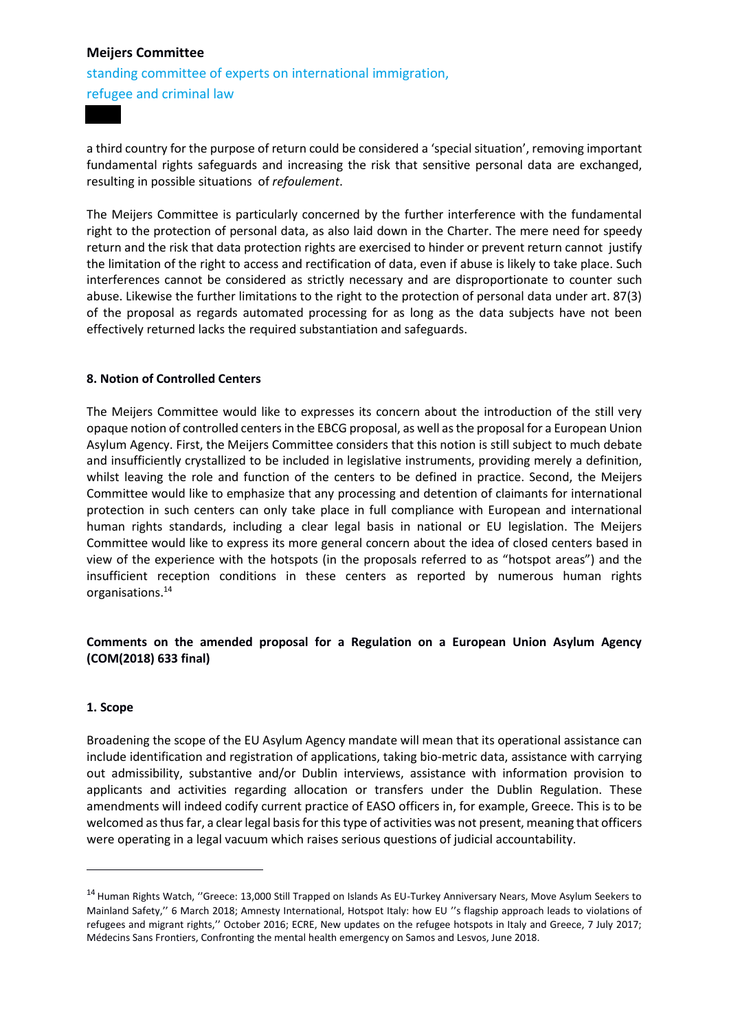standing committee of experts on international immigration, refugee and criminal law

a third country for the purpose of return could be considered a 'special situation', removing important fundamental rights safeguards and increasing the risk that sensitive personal data are exchanged, resulting in possible situations of *refoulement*.

The Meijers Committee is particularly concerned by the further interference with the fundamental right to the protection of personal data, as also laid down in the Charter. The mere need for speedy return and the risk that data protection rights are exercised to hinder or prevent return cannot justify the limitation of the right to access and rectification of data, even if abuse is likely to take place. Such interferences cannot be considered as strictly necessary and are disproportionate to counter such abuse. Likewise the further limitations to the right to the protection of personal data under art. 87(3) of the proposal as regards automated processing for as long as the data subjects have not been effectively returned lacks the required substantiation and safeguards.

## **8. Notion of Controlled Centers**

The Meijers Committee would like to expresses its concern about the introduction of the still very opaque notion of controlled centersin the EBCG proposal, as well as the proposal for a European Union Asylum Agency. First, the Meijers Committee considers that this notion is still subject to much debate and insufficiently crystallized to be included in legislative instruments, providing merely a definition, whilst leaving the role and function of the centers to be defined in practice. Second, the Meijers Committee would like to emphasize that any processing and detention of claimants for international protection in such centers can only take place in full compliance with European and international human rights standards, including a clear legal basis in national or EU legislation. The Meijers Committee would like to express its more general concern about the idea of closed centers based in view of the experience with the hotspots (in the proposals referred to as "hotspot areas") and the insufficient reception conditions in these centers as reported by numerous human rights organisations.<sup>14</sup>

## **Comments on the amended proposal for a Regulation on a European Union Asylum Agency (COM(2018) 633 final)**

#### **1. Scope**

**.** 

Broadening the scope of the EU Asylum Agency mandate will mean that its operational assistance can include identification and registration of applications, taking bio-metric data, assistance with carrying out admissibility, substantive and/or Dublin interviews, assistance with information provision to applicants and activities regarding allocation or transfers under the Dublin Regulation. These amendments will indeed codify current practice of EASO officers in, for example, Greece. This is to be welcomed as thus far, a clear legal basis for this type of activities was not present, meaning that officers were operating in a legal vacuum which raises serious questions of judicial accountability.

<sup>&</sup>lt;sup>14</sup> Human Rights Watch, "Greece: 13,000 Still Trapped on Islands As EU-Turkey Anniversary Nears, Move Asylum Seekers to Mainland Safety,'' 6 March 2018; Amnesty International, Hotspot Italy: how EU ''s flagship approach leads to violations of refugees and migrant rights,'' October 2016; ECRE, New updates on the refugee hotspots in Italy and Greece, 7 July 2017; Médecins Sans Frontiers, Confronting the mental health emergency on Samos and Lesvos, June 2018.